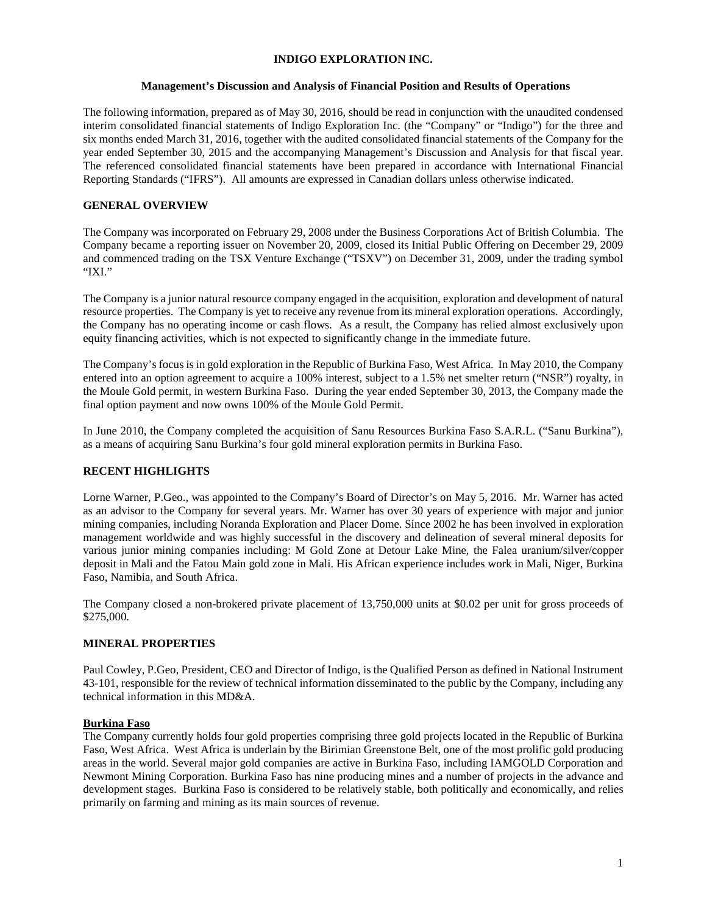### **INDIGO EXPLORATION INC.**

### **Management's Discussion and Analysis of Financial Position and Results of Operations**

The following information, prepared as of May 30, 2016, should be read in conjunction with the unaudited condensed interim consolidated financial statements of Indigo Exploration Inc. (the "Company" or "Indigo") for the three and six months ended March 31, 2016, together with the audited consolidated financial statements of the Company for the year ended September 30, 2015 and the accompanying Management's Discussion and Analysis for that fiscal year. The referenced consolidated financial statements have been prepared in accordance with International Financial Reporting Standards ("IFRS"). All amounts are expressed in Canadian dollars unless otherwise indicated.

### **GENERAL OVERVIEW**

The Company was incorporated on February 29, 2008 under the Business Corporations Act of British Columbia. The Company became a reporting issuer on November 20, 2009, closed its Initial Public Offering on December 29, 2009 and commenced trading on the TSX Venture Exchange ("TSXV") on December 31, 2009, under the trading symbol "IXI."

The Company is a junior natural resource company engaged in the acquisition, exploration and development of natural resource properties. The Company is yet to receive any revenue from its mineral exploration operations. Accordingly, the Company has no operating income or cash flows. As a result, the Company has relied almost exclusively upon equity financing activities, which is not expected to significantly change in the immediate future.

The Company's focus is in gold exploration in the Republic of Burkina Faso, West Africa. In May 2010, the Company entered into an option agreement to acquire a 100% interest, subject to a 1.5% net smelter return ("NSR") royalty, in the Moule Gold permit, in western Burkina Faso. During the year ended September 30, 2013, the Company made the final option payment and now owns 100% of the Moule Gold Permit.

In June 2010, the Company completed the acquisition of Sanu Resources Burkina Faso S.A.R.L. ("Sanu Burkina"), as a means of acquiring Sanu Burkina's four gold mineral exploration permits in Burkina Faso.

## **RECENT HIGHLIGHTS**

Lorne Warner, P.Geo., was appointed to the Company's Board of Director's on May 5, 2016. Mr. Warner has acted as an advisor to the Company for several years. Mr. Warner has over 30 years of experience with major and junior mining companies, including Noranda Exploration and Placer Dome. Since 2002 he has been involved in exploration management worldwide and was highly successful in the discovery and delineation of several mineral deposits for various junior mining companies including: M Gold Zone at Detour Lake Mine, the Falea uranium/silver/copper deposit in Mali and the Fatou Main gold zone in Mali. His African experience includes work in Mali, Niger, Burkina Faso, Namibia, and South Africa.

The Company closed a non-brokered private placement of 13,750,000 units at \$0.02 per unit for gross proceeds of \$275,000.

## **MINERAL PROPERTIES**

Paul Cowley, P.Geo, President, CEO and Director of Indigo, is the Qualified Person as defined in National Instrument 43-101, responsible for the review of technical information disseminated to the public by the Company, including any technical information in this MD&A.

#### **Burkina Faso**

The Company currently holds four gold properties comprising three gold projects located in the Republic of Burkina Faso, West Africa. West Africa is underlain by the Birimian Greenstone Belt, one of the most prolific gold producing areas in the world. Several major gold companies are active in Burkina Faso, including IAMGOLD Corporation and Newmont Mining Corporation. Burkina Faso has nine producing mines and a number of projects in the advance and development stages. Burkina Faso is considered to be relatively stable, both politically and economically, and relies primarily on farming and mining as its main sources of revenue.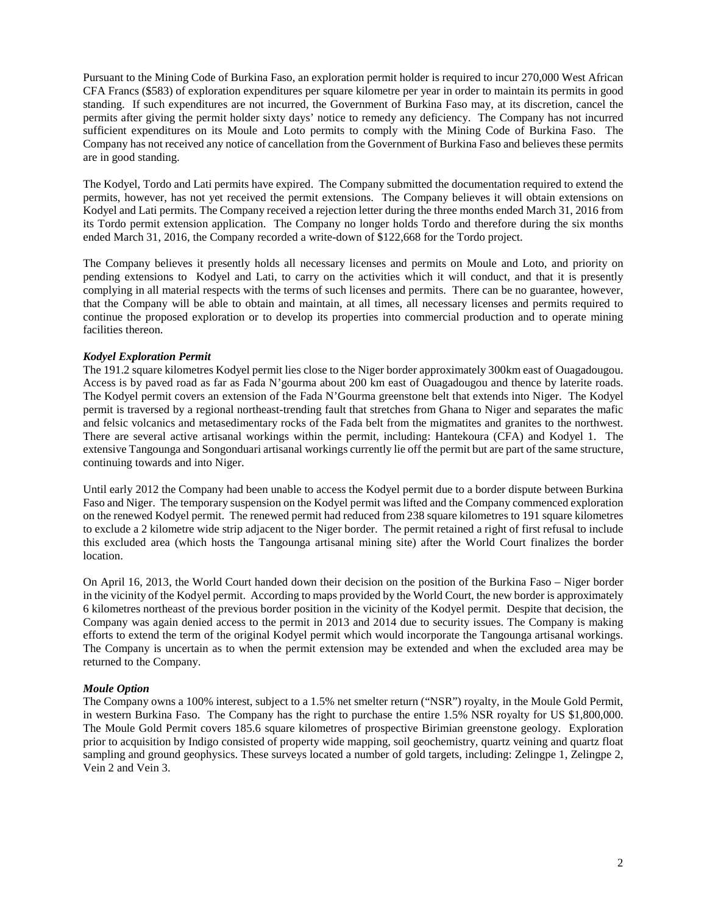Pursuant to the Mining Code of Burkina Faso, an exploration permit holder is required to incur 270,000 West African CFA Francs (\$583) of exploration expenditures per square kilometre per year in order to maintain its permits in good standing. If such expenditures are not incurred, the Government of Burkina Faso may, at its discretion, cancel the permits after giving the permit holder sixty days' notice to remedy any deficiency. The Company has not incurred sufficient expenditures on its Moule and Loto permits to comply with the Mining Code of Burkina Faso. The Company has not received any notice of cancellation from the Government of Burkina Faso and believes these permits are in good standing.

The Kodyel, Tordo and Lati permits have expired. The Company submitted the documentation required to extend the permits, however, has not yet received the permit extensions. The Company believes it will obtain extensions on Kodyel and Lati permits. The Company received a rejection letter during the three months ended March 31, 2016 from its Tordo permit extension application. The Company no longer holds Tordo and therefore during the six months ended March 31, 2016, the Company recorded a write-down of \$122,668 for the Tordo project.

The Company believes it presently holds all necessary licenses and permits on Moule and Loto, and priority on pending extensions to Kodyel and Lati, to carry on the activities which it will conduct, and that it is presently complying in all material respects with the terms of such licenses and permits. There can be no guarantee, however, that the Company will be able to obtain and maintain, at all times, all necessary licenses and permits required to continue the proposed exploration or to develop its properties into commercial production and to operate mining facilities thereon.

## *Kodyel Exploration Permit*

The 191.2 square kilometres Kodyel permit lies close to the Niger border approximately 300km east of Ouagadougou. Access is by paved road as far as Fada N'gourma about 200 km east of Ouagadougou and thence by laterite roads. The Kodyel permit covers an extension of the Fada N'Gourma greenstone belt that extends into Niger. The Kodyel permit is traversed by a regional northeast-trending fault that stretches from Ghana to Niger and separates the mafic and felsic volcanics and metasedimentary rocks of the Fada belt from the migmatites and granites to the northwest. There are several active artisanal workings within the permit, including: Hantekoura (CFA) and Kodyel 1. The extensive Tangounga and Songonduari artisanal workings currently lie off the permit but are part of the same structure, continuing towards and into Niger.

Until early 2012 the Company had been unable to access the Kodyel permit due to a border dispute between Burkina Faso and Niger. The temporary suspension on the Kodyel permit was lifted and the Company commenced exploration on the renewed Kodyel permit. The renewed permit had reduced from 238 square kilometres to 191 square kilometres to exclude a 2 kilometre wide strip adjacent to the Niger border. The permit retained a right of first refusal to include this excluded area (which hosts the Tangounga artisanal mining site) after the World Court finalizes the border location.

On April 16, 2013, the World Court handed down their decision on the position of the Burkina Faso – Niger border in the vicinity of the Kodyel permit. According to maps provided by the World Court, the new border is approximately 6 kilometres northeast of the previous border position in the vicinity of the Kodyel permit. Despite that decision, the Company was again denied access to the permit in 2013 and 2014 due to security issues. The Company is making efforts to extend the term of the original Kodyel permit which would incorporate the Tangounga artisanal workings. The Company is uncertain as to when the permit extension may be extended and when the excluded area may be returned to the Company.

### *Moule Option*

The Company owns a 100% interest, subject to a 1.5% net smelter return ("NSR") royalty, in the Moule Gold Permit, in western Burkina Faso. The Company has the right to purchase the entire 1.5% NSR royalty for US \$1,800,000. The Moule Gold Permit covers 185.6 square kilometres of prospective Birimian greenstone geology. Exploration prior to acquisition by Indigo consisted of property wide mapping, soil geochemistry, quartz veining and quartz float sampling and ground geophysics. These surveys located a number of gold targets, including: Zelingpe 1, Zelingpe 2, Vein 2 and Vein 3.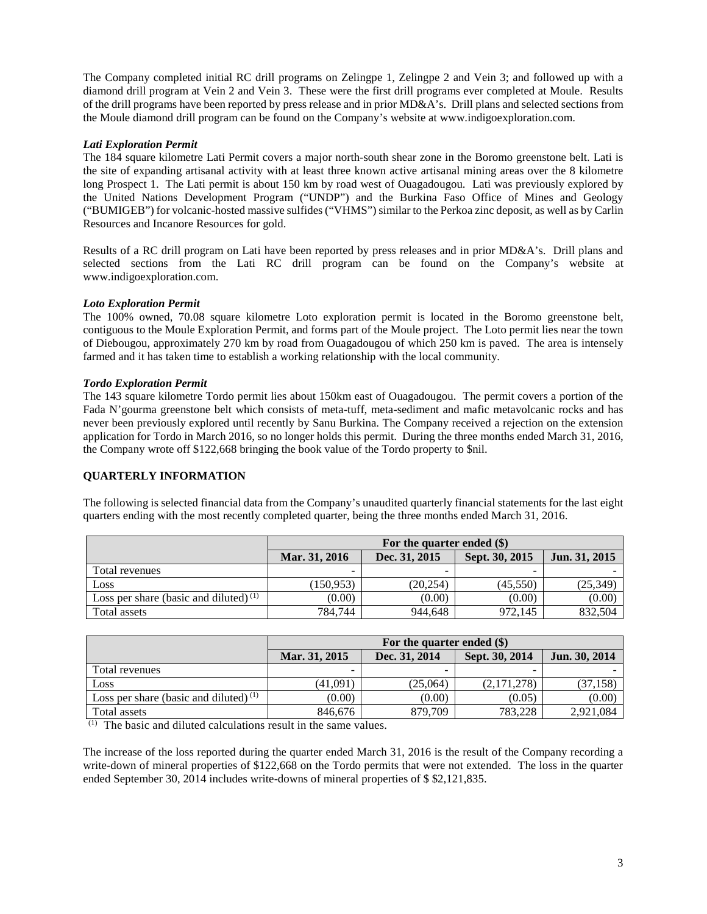The Company completed initial RC drill programs on Zelingpe 1, Zelingpe 2 and Vein 3; and followed up with a diamond drill program at Vein 2 and Vein 3. These were the first drill programs ever completed at Moule. Results of the drill programs have been reported by press release and in prior MD&A's. Drill plans and selected sections from the Moule diamond drill program can be found on the Company's website at [www.indigoexploration.com.](http://www.indigoexploration.com/)

## *Lati Exploration Permit*

The 184 square kilometre Lati Permit covers a major north-south shear zone in the Boromo greenstone belt. Lati is the site of expanding artisanal activity with at least three known active artisanal mining areas over the 8 kilometre long Prospect 1. The Lati permit is about 150 km by road west of Ouagadougou. Lati was previously explored by the United Nations Development Program ("UNDP") and the Burkina Faso Office of Mines and Geology ("BUMIGEB") for volcanic-hosted massive sulfides ("VHMS") similar to the Perkoa zinc deposit, as well as by Carlin Resources and Incanore Resources for gold.

Results of a RC drill program on Lati have been reported by press releases and in prior MD&A's. Drill plans and selected sections from the Lati RC drill program can be found on the Company's website at [www.indigoexploration.com.](http://www.indigoexploration.com/)

## *Loto Exploration Permit*

The 100% owned, 70.08 square kilometre Loto exploration permit is located in the Boromo greenstone belt, contiguous to the Moule Exploration Permit, and forms part of the Moule project. The Loto permit lies near the town of Diebougou, approximately 270 km by road from Ouagadougou of which 250 km is paved. The area is intensely farmed and it has taken time to establish a working relationship with the local community.

### *Tordo Exploration Permit*

The 143 square kilometre Tordo permit lies about 150km east of Ouagadougou. The permit covers a portion of the Fada N'gourma greenstone belt which consists of meta-tuff, meta-sediment and mafic metavolcanic rocks and has never been previously explored until recently by Sanu Burkina. The Company received a rejection on the extension application for Tordo in March 2016, so no longer holds this permit. During the three months ended March 31, 2016, the Company wrote off \$122,668 bringing the book value of the Tordo property to \$nil.

## **QUARTERLY INFORMATION**

The following is selected financial data from the Company's unaudited quarterly financial statements for the last eight quarters ending with the most recently completed quarter, being the three months ended March 31, 2016.

|                                          | For the quarter ended (\$) |               |                |               |
|------------------------------------------|----------------------------|---------------|----------------|---------------|
|                                          | Mar. 31, 2016              | Dec. 31, 2015 | Sept. 30, 2015 | Jun. 31, 2015 |
| Total revenues                           |                            | -             | -              |               |
| Loss                                     | (150, 953)                 | (20, 254)     | (45,550)       | (25, 349)     |
| Loss per share (basic and diluted) $(1)$ | (0.00)                     | (0.00)        | (0.00)         | (0.00)        |
| Total assets                             | 784.744                    | 944.648       | 972.145        | 832,504       |

|                                          | For the quarter ended (\$) |               |                |               |
|------------------------------------------|----------------------------|---------------|----------------|---------------|
|                                          | Mar. 31, 2015              | Dec. 31, 2014 | Sept. 30, 2014 | Jun. 30, 2014 |
| Total revenues                           |                            |               |                |               |
| Loss                                     | (41,091)                   | (25,064)      | (2,171,278)    | (37, 158)     |
| Loss per share (basic and diluted) $(1)$ | (0.00)                     | (0.00)        | (0.05)         | (0.00)        |
| Total assets                             | 846,676                    | 879,709       | 783.228        | 2,921,084     |

 $(1)$  The basic and diluted calculations result in the same values.

The increase of the loss reported during the quarter ended March 31, 2016 is the result of the Company recording a write-down of mineral properties of \$122,668 on the Tordo permits that were not extended. The loss in the quarter ended September 30, 2014 includes write-downs of mineral properties of \$ \$2,121,835.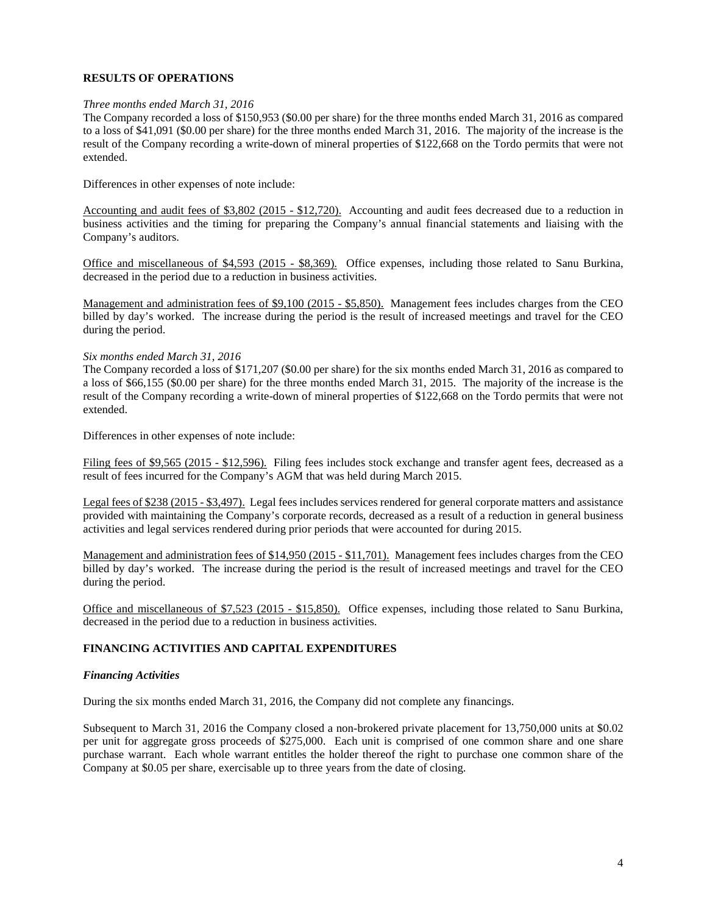## **RESULTS OF OPERATIONS**

### *Three months ended March 31, 2016*

The Company recorded a loss of \$150,953 (\$0.00 per share) for the three months ended March 31, 2016 as compared to a loss of \$41,091 (\$0.00 per share) for the three months ended March 31, 2016. The majority of the increase is the result of the Company recording a write-down of mineral properties of \$122,668 on the Tordo permits that were not extended.

Differences in other expenses of note include:

Accounting and audit fees of \$3,802 (2015 - \$12,720). Accounting and audit fees decreased due to a reduction in business activities and the timing for preparing the Company's annual financial statements and liaising with the Company's auditors.

Office and miscellaneous of \$4,593 (2015 - \$8,369). Office expenses, including those related to Sanu Burkina, decreased in the period due to a reduction in business activities.

Management and administration fees of \$9,100 (2015 - \$5,850). Management fees includes charges from the CEO billed by day's worked. The increase during the period is the result of increased meetings and travel for the CEO during the period.

### *Six months ended March 31, 2016*

The Company recorded a loss of \$171,207 (\$0.00 per share) for the six months ended March 31, 2016 as compared to a loss of \$66,155 (\$0.00 per share) for the three months ended March 31, 2015. The majority of the increase is the result of the Company recording a write-down of mineral properties of \$122,668 on the Tordo permits that were not extended.

Differences in other expenses of note include:

Filing fees of \$9,565 (2015 - \$12,596). Filing fees includes stock exchange and transfer agent fees, decreased as a result of fees incurred for the Company's AGM that was held during March 2015.

Legal fees of \$238 (2015 - \$3,497). Legal fees includes services rendered for general corporate matters and assistance provided with maintaining the Company's corporate records, decreased as a result of a reduction in general business activities and legal services rendered during prior periods that were accounted for during 2015.

Management and administration fees of \$14,950 (2015 - \$11,701). Management fees includes charges from the CEO billed by day's worked. The increase during the period is the result of increased meetings and travel for the CEO during the period.

Office and miscellaneous of \$7,523 (2015 - \$15,850). Office expenses, including those related to Sanu Burkina, decreased in the period due to a reduction in business activities.

## **FINANCING ACTIVITIES AND CAPITAL EXPENDITURES**

#### *Financing Activities*

During the six months ended March 31, 2016, the Company did not complete any financings.

Subsequent to March 31, 2016 the Company closed a non-brokered private placement for 13,750,000 units at \$0.02 per unit for aggregate gross proceeds of \$275,000. Each unit is comprised of one common share and one share purchase warrant. Each whole warrant entitles the holder thereof the right to purchase one common share of the Company at \$0.05 per share, exercisable up to three years from the date of closing.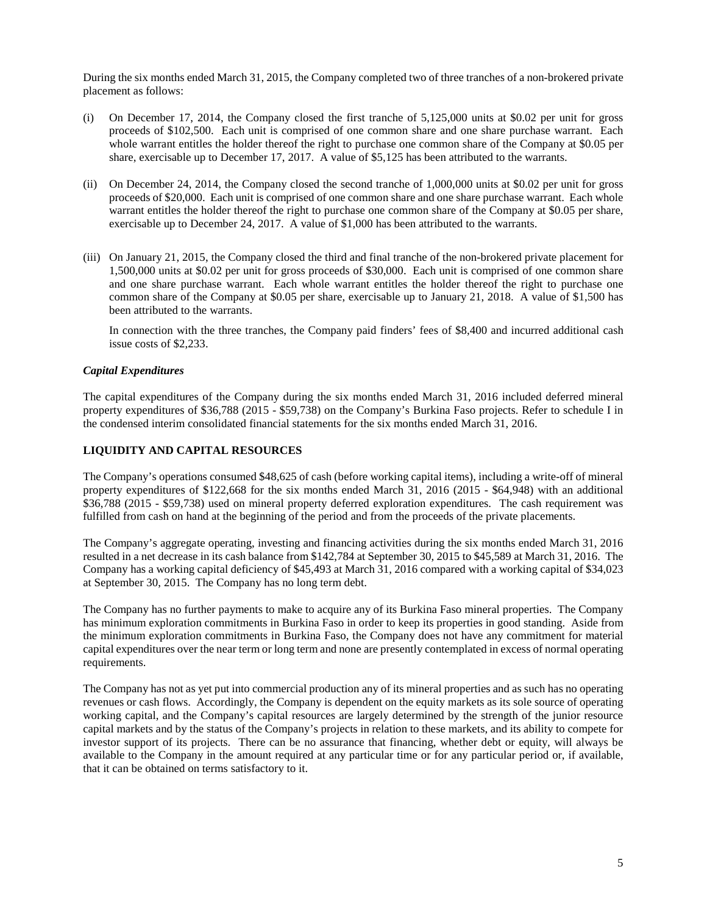During the six months ended March 31, 2015, the Company completed two of three tranches of a non-brokered private placement as follows:

- (i) On December 17, 2014, the Company closed the first tranche of 5,125,000 units at \$0.02 per unit for gross proceeds of \$102,500. Each unit is comprised of one common share and one share purchase warrant. Each whole warrant entitles the holder thereof the right to purchase one common share of the Company at \$0.05 per share, exercisable up to December 17, 2017. A value of \$5,125 has been attributed to the warrants.
- (ii) On December 24, 2014, the Company closed the second tranche of 1,000,000 units at \$0.02 per unit for gross proceeds of \$20,000. Each unit is comprised of one common share and one share purchase warrant. Each whole warrant entitles the holder thereof the right to purchase one common share of the Company at \$0.05 per share, exercisable up to December 24, 2017. A value of \$1,000 has been attributed to the warrants.
- (iii) On January 21, 2015, the Company closed the third and final tranche of the non-brokered private placement for 1,500,000 units at \$0.02 per unit for gross proceeds of \$30,000. Each unit is comprised of one common share and one share purchase warrant. Each whole warrant entitles the holder thereof the right to purchase one common share of the Company at \$0.05 per share, exercisable up to January 21, 2018. A value of \$1,500 has been attributed to the warrants.

In connection with the three tranches, the Company paid finders' fees of \$8,400 and incurred additional cash issue costs of \$2,233.

### *Capital Expenditures*

The capital expenditures of the Company during the six months ended March 31, 2016 included deferred mineral property expenditures of \$36,788 (2015 - \$59,738) on the Company's Burkina Faso projects. Refer to schedule I in the condensed interim consolidated financial statements for the six months ended March 31, 2016.

### **LIQUIDITY AND CAPITAL RESOURCES**

The Company's operations consumed \$48,625 of cash (before working capital items), including a write-off of mineral property expenditures of \$122,668 for the six months ended March 31, 2016 (2015 - \$64,948) with an additional \$36,788 (2015 - \$59,738) used on mineral property deferred exploration expenditures. The cash requirement was fulfilled from cash on hand at the beginning of the period and from the proceeds of the private placements.

The Company's aggregate operating, investing and financing activities during the six months ended March 31, 2016 resulted in a net decrease in its cash balance from \$142,784 at September 30, 2015 to \$45,589 at March 31, 2016. The Company has a working capital deficiency of \$45,493 at March 31, 2016 compared with a working capital of \$34,023 at September 30, 2015. The Company has no long term debt.

The Company has no further payments to make to acquire any of its Burkina Faso mineral properties. The Company has minimum exploration commitments in Burkina Faso in order to keep its properties in good standing. Aside from the minimum exploration commitments in Burkina Faso, the Company does not have any commitment for material capital expenditures over the near term or long term and none are presently contemplated in excess of normal operating requirements.

The Company has not as yet put into commercial production any of its mineral properties and as such has no operating revenues or cash flows. Accordingly, the Company is dependent on the equity markets as its sole source of operating working capital, and the Company's capital resources are largely determined by the strength of the junior resource capital markets and by the status of the Company's projects in relation to these markets, and its ability to compete for investor support of its projects. There can be no assurance that financing, whether debt or equity, will always be available to the Company in the amount required at any particular time or for any particular period or, if available, that it can be obtained on terms satisfactory to it.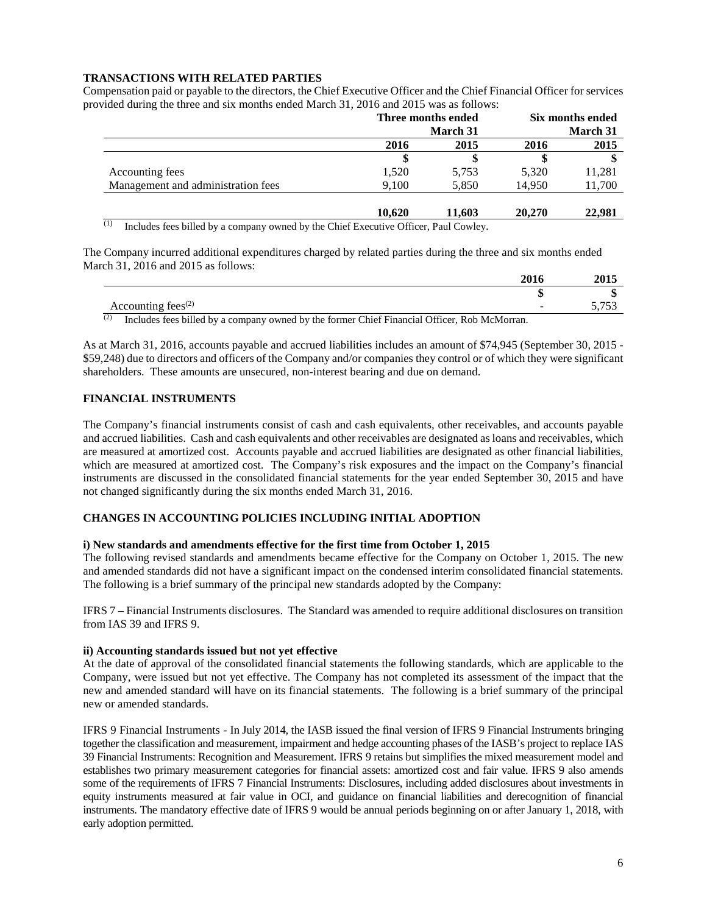## **TRANSACTIONS WITH RELATED PARTIES**

Compensation paid or payable to the directors, the Chief Executive Officer and the Chief Financial Officer for services provided during the three and six months ended March 31, 2016 and 2015 was as follows:

| Three months ended |          | Six months ended |                 |
|--------------------|----------|------------------|-----------------|
|                    | March 31 |                  | <b>March 31</b> |
| 2016               | 2015     | 2016             | 2015            |
|                    |          |                  |                 |
| 1,520              | 5,753    | 5,320            | 11,281          |
| 9,100              | 5,850    | 14.950           | 11,700          |
| 10.620             | 11.603   | 20,270           | 22,981          |
|                    | ---      |                  |                 |

 $(1)$  Includes fees billed by a company owned by the Chief Executive Officer, Paul Cowley.

The Company incurred additional expenditures charged by related parties during the three and six months ended March 31, 2016 and 2015 as follows:

| Accounting fees <sup><math>(2)</math></sup>                                                         |  |
|-----------------------------------------------------------------------------------------------------|--|
| (2)<br>Includes fees billed by a company owned by the former Chief Financial Officer, Rob McMorran. |  |

As at March 31, 2016, accounts payable and accrued liabilities includes an amount of \$74,945 (September 30, 2015 - \$59,248) due to directors and officers of the Company and/or companies they control or of which they were significant shareholders. These amounts are unsecured, non-interest bearing and due on demand.

## **FINANCIAL INSTRUMENTS**

The Company's financial instruments consist of cash and cash equivalents, other receivables, and accounts payable and accrued liabilities. Cash and cash equivalents and other receivables are designated as loans and receivables, which are measured at amortized cost. Accounts payable and accrued liabilities are designated as other financial liabilities, which are measured at amortized cost. The Company's risk exposures and the impact on the Company's financial instruments are discussed in the consolidated financial statements for the year ended September 30, 2015 and have not changed significantly during the six months ended March 31, 2016.

### **CHANGES IN ACCOUNTING POLICIES INCLUDING INITIAL ADOPTION**

#### **i) New standards and amendments effective for the first time from October 1, 2015**

The following revised standards and amendments became effective for the Company on October 1, 2015. The new and amended standards did not have a significant impact on the condensed interim consolidated financial statements. The following is a brief summary of the principal new standards adopted by the Company:

IFRS 7 – Financial Instruments disclosures. The Standard was amended to require additional disclosures on transition from IAS 39 and IFRS 9.

#### **ii) Accounting standards issued but not yet effective**

At the date of approval of the consolidated financial statements the following standards, which are applicable to the Company, were issued but not yet effective. The Company has not completed its assessment of the impact that the new and amended standard will have on its financial statements. The following is a brief summary of the principal new or amended standards.

IFRS 9 Financial Instruments - In July 2014, the IASB issued the final version of IFRS 9 Financial Instruments bringing together the classification and measurement, impairment and hedge accounting phases of the IASB's project to replace IAS 39 Financial Instruments: Recognition and Measurement. IFRS 9 retains but simplifies the mixed measurement model and establishes two primary measurement categories for financial assets: amortized cost and fair value. IFRS 9 also amends some of the requirements of IFRS 7 Financial Instruments: Disclosures, including added disclosures about investments in equity instruments measured at fair value in OCI, and guidance on financial liabilities and derecognition of financial instruments. The mandatory effective date of IFRS 9 would be annual periods beginning on or after January 1, 2018, with early adoption permitted.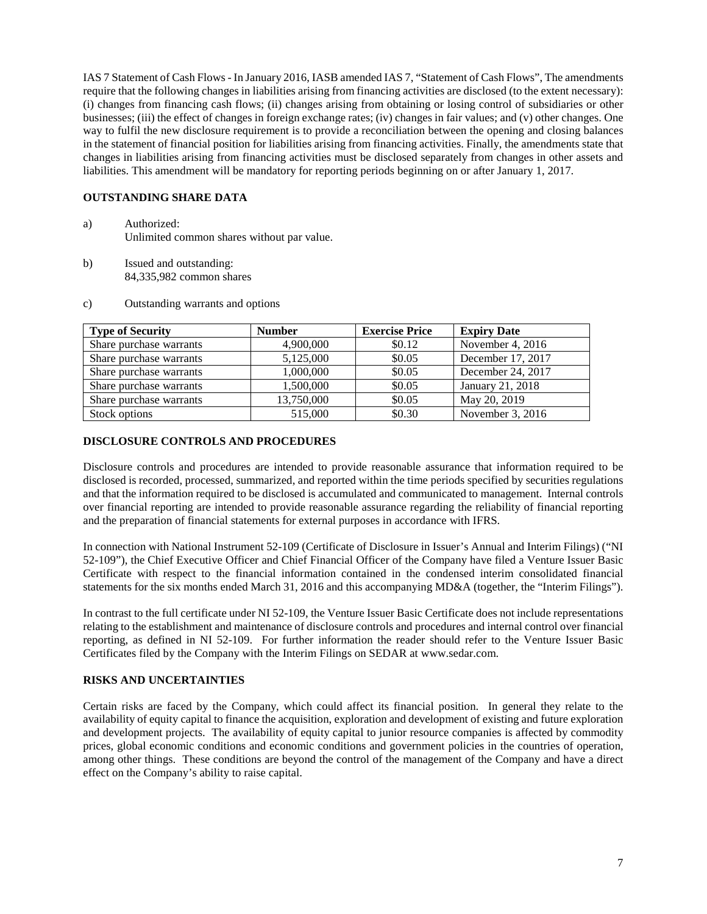IAS 7 Statement of Cash Flows - In January 2016, IASB amended IAS 7, "Statement of Cash Flows", The amendments require that the following changes in liabilities arising from financing activities are disclosed (to the extent necessary): (i) changes from financing cash flows; (ii) changes arising from obtaining or losing control of subsidiaries or other businesses; (iii) the effect of changes in foreign exchange rates; (iv) changes in fair values; and (v) other changes. One way to fulfil the new disclosure requirement is to provide a reconciliation between the opening and closing balances in the statement of financial position for liabilities arising from financing activities. Finally, the amendments state that changes in liabilities arising from financing activities must be disclosed separately from changes in other assets and liabilities. This amendment will be mandatory for reporting periods beginning on or after January 1, 2017.

## **OUTSTANDING SHARE DATA**

- a) Authorized: Unlimited common shares without par value.
- b) Issued and outstanding: 84,335,982 common shares
- c) Outstanding warrants and options

| <b>Type of Security</b> | <b>Number</b> | <b>Exercise Price</b> | <b>Expiry Date</b> |
|-------------------------|---------------|-----------------------|--------------------|
| Share purchase warrants | 4,900,000     | \$0.12                | November 4, 2016   |
| Share purchase warrants | 5,125,000     | \$0.05                | December 17, 2017  |
| Share purchase warrants | 1,000,000     | \$0.05                | December 24, 2017  |
| Share purchase warrants | 1,500,000     | \$0.05                | January 21, 2018   |
| Share purchase warrants | 13,750,000    | \$0.05                | May 20, 2019       |
| Stock options           | 515,000       | \$0.30                | November 3, 2016   |

## **DISCLOSURE CONTROLS AND PROCEDURES**

Disclosure controls and procedures are intended to provide reasonable assurance that information required to be disclosed is recorded, processed, summarized, and reported within the time periods specified by securities regulations and that the information required to be disclosed is accumulated and communicated to management. Internal controls over financial reporting are intended to provide reasonable assurance regarding the reliability of financial reporting and the preparation of financial statements for external purposes in accordance with IFRS.

In connection with National Instrument 52-109 (Certificate of Disclosure in Issuer's Annual and Interim Filings) ("NI 52-109"), the Chief Executive Officer and Chief Financial Officer of the Company have filed a Venture Issuer Basic Certificate with respect to the financial information contained in the condensed interim consolidated financial statements for the six months ended March 31, 2016 and this accompanying MD&A (together, the "Interim Filings").

In contrast to the full certificate under NI 52-109, the Venture Issuer Basic Certificate does not include representations relating to the establishment and maintenance of disclosure controls and procedures and internal control over financial reporting, as defined in NI 52-109. For further information the reader should refer to the Venture Issuer Basic Certificates filed by the Company with the Interim Filings on SEDAR at www.sedar.com.

## **RISKS AND UNCERTAINTIES**

Certain risks are faced by the Company, which could affect its financial position. In general they relate to the availability of equity capital to finance the acquisition, exploration and development of existing and future exploration and development projects. The availability of equity capital to junior resource companies is affected by commodity prices, global economic conditions and economic conditions and government policies in the countries of operation, among other things. These conditions are beyond the control of the management of the Company and have a direct effect on the Company's ability to raise capital.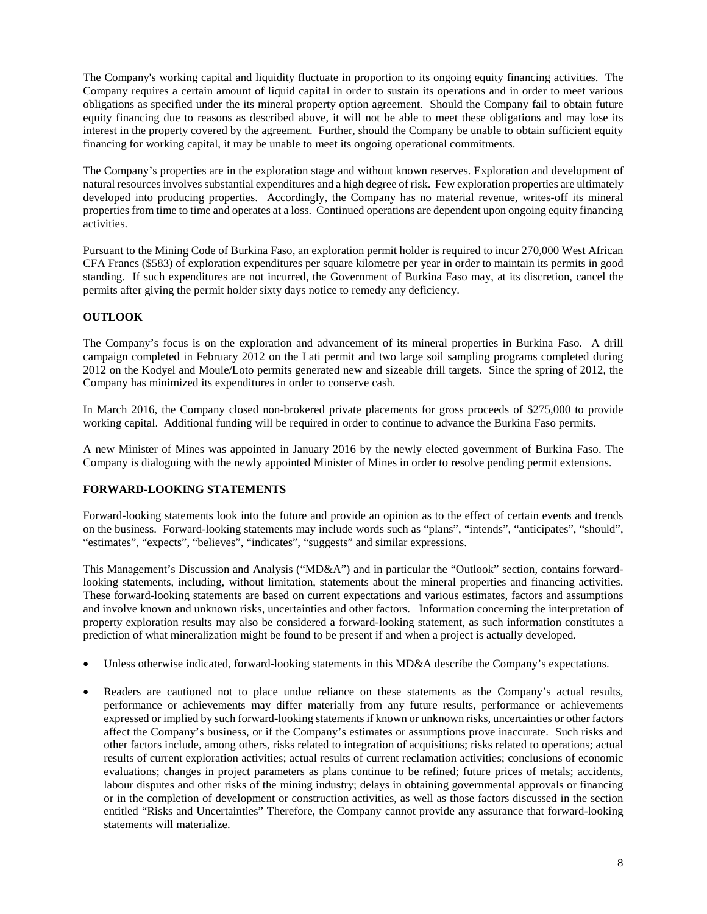The Company's working capital and liquidity fluctuate in proportion to its ongoing equity financing activities. The Company requires a certain amount of liquid capital in order to sustain its operations and in order to meet various obligations as specified under the its mineral property option agreement. Should the Company fail to obtain future equity financing due to reasons as described above, it will not be able to meet these obligations and may lose its interest in the property covered by the agreement. Further, should the Company be unable to obtain sufficient equity financing for working capital, it may be unable to meet its ongoing operational commitments.

The Company's properties are in the exploration stage and without known reserves. Exploration and development of natural resources involves substantial expenditures and a high degree of risk. Few exploration properties are ultimately developed into producing properties. Accordingly, the Company has no material revenue, writes-off its mineral properties from time to time and operates at a loss. Continued operations are dependent upon ongoing equity financing activities.

Pursuant to the Mining Code of Burkina Faso, an exploration permit holder is required to incur 270,000 West African CFA Francs (\$583) of exploration expenditures per square kilometre per year in order to maintain its permits in good standing. If such expenditures are not incurred, the Government of Burkina Faso may, at its discretion, cancel the permits after giving the permit holder sixty days notice to remedy any deficiency.

# **OUTLOOK**

The Company's focus is on the exploration and advancement of its mineral properties in Burkina Faso. A drill campaign completed in February 2012 on the Lati permit and two large soil sampling programs completed during 2012 on the Kodyel and Moule/Loto permits generated new and sizeable drill targets. Since the spring of 2012, the Company has minimized its expenditures in order to conserve cash.

In March 2016, the Company closed non-brokered private placements for gross proceeds of \$275,000 to provide working capital. Additional funding will be required in order to continue to advance the Burkina Faso permits.

A new Minister of Mines was appointed in January 2016 by the newly elected government of Burkina Faso. The Company is dialoguing with the newly appointed Minister of Mines in order to resolve pending permit extensions.

## **FORWARD-LOOKING STATEMENTS**

Forward-looking statements look into the future and provide an opinion as to the effect of certain events and trends on the business. Forward-looking statements may include words such as "plans", "intends", "anticipates", "should", "estimates", "expects", "believes", "indicates", "suggests" and similar expressions.

This Management's Discussion and Analysis ("MD&A") and in particular the "Outlook" section, contains forwardlooking statements, including, without limitation, statements about the mineral properties and financing activities. These forward-looking statements are based on current expectations and various estimates, factors and assumptions and involve known and unknown risks, uncertainties and other factors. Information concerning the interpretation of property exploration results may also be considered a forward-looking statement, as such information constitutes a prediction of what mineralization might be found to be present if and when a project is actually developed.

- Unless otherwise indicated, forward-looking statements in this MD&A describe the Company's expectations.
- Readers are cautioned not to place undue reliance on these statements as the Company's actual results, performance or achievements may differ materially from any future results, performance or achievements expressed or implied by such forward-looking statements if known or unknown risks, uncertainties or other factors affect the Company's business, or if the Company's estimates or assumptions prove inaccurate. Such risks and other factors include, among others, risks related to integration of acquisitions; risks related to operations; actual results of current exploration activities; actual results of current reclamation activities; conclusions of economic evaluations; changes in project parameters as plans continue to be refined; future prices of metals; accidents, labour disputes and other risks of the mining industry; delays in obtaining governmental approvals or financing or in the completion of development or construction activities, as well as those factors discussed in the section entitled "Risks and Uncertainties" Therefore, the Company cannot provide any assurance that forward-looking statements will materialize.